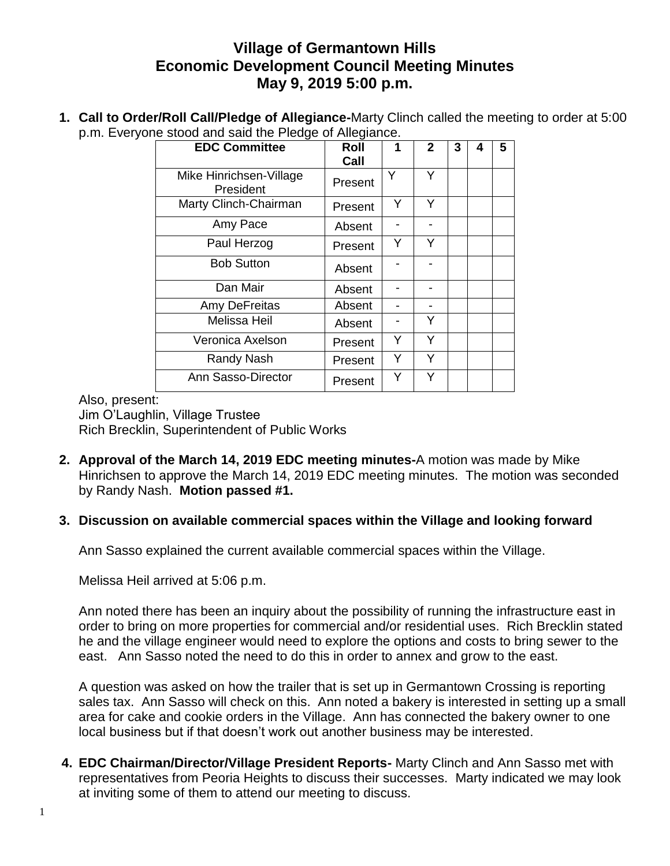## **Village of Germantown Hills Economic Development Council Meeting Minutes May 9, 2019 5:00 p.m.**

**1. Call to Order/Roll Call/Pledge of Allegiance-**Marty Clinch called the meeting to order at 5:00 p.m. Everyone stood and said the Pledge of Allegiance.

| <b>EDC Committee</b>                 | Roll<br>Call | 1 | $\mathbf{2}$ | 3 | 4 | 5 |
|--------------------------------------|--------------|---|--------------|---|---|---|
| Mike Hinrichsen-Village<br>President | Present      | Y | Υ            |   |   |   |
| Marty Clinch-Chairman                | Present      | Y | Υ            |   |   |   |
| Amy Pace                             | Absent       |   |              |   |   |   |
| Paul Herzog                          | Present      | Y | Y            |   |   |   |
| <b>Bob Sutton</b>                    | Absent       |   |              |   |   |   |
| Dan Mair                             | Absent       |   |              |   |   |   |
| Amy DeFreitas                        | Absent       |   |              |   |   |   |
| <b>Melissa Heil</b>                  | Absent       |   | Y            |   |   |   |
| Veronica Axelson                     | Present      | Y | Υ            |   |   |   |
| Randy Nash                           | Present      | Y | Y            |   |   |   |
| Ann Sasso-Director                   | Present      | Y | Υ            |   |   |   |

Also, present:

Jim O'Laughlin, Village Trustee Rich Brecklin, Superintendent of Public Works

**2. Approval of the March 14, 2019 EDC meeting minutes-**A motion was made by Mike Hinrichsen to approve the March 14, 2019 EDC meeting minutes. The motion was seconded by Randy Nash. **Motion passed #1.**

## **3. Discussion on available commercial spaces within the Village and looking forward**

Ann Sasso explained the current available commercial spaces within the Village.

Melissa Heil arrived at 5:06 p.m.

Ann noted there has been an inquiry about the possibility of running the infrastructure east in order to bring on more properties for commercial and/or residential uses. Rich Brecklin stated he and the village engineer would need to explore the options and costs to bring sewer to the east. Ann Sasso noted the need to do this in order to annex and grow to the east.

A question was asked on how the trailer that is set up in Germantown Crossing is reporting sales tax. Ann Sasso will check on this. Ann noted a bakery is interested in setting up a small area for cake and cookie orders in the Village. Ann has connected the bakery owner to one local business but if that doesn't work out another business may be interested.

**4. EDC Chairman/Director/Village President Reports-** Marty Clinch and Ann Sasso met with representatives from Peoria Heights to discuss their successes. Marty indicated we may look at inviting some of them to attend our meeting to discuss.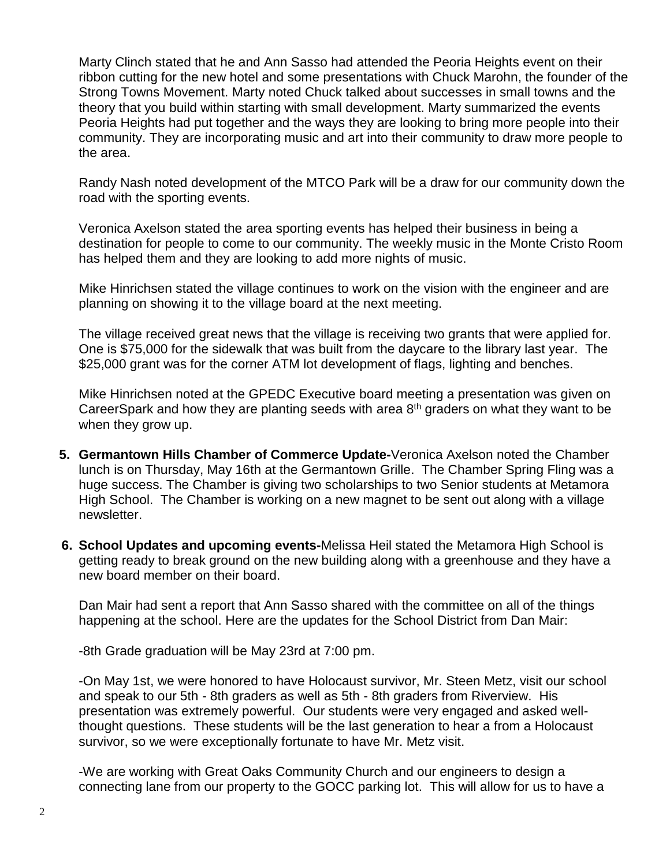Marty Clinch stated that he and Ann Sasso had attended the Peoria Heights event on their ribbon cutting for the new hotel and some presentations with Chuck Marohn, the founder of the Strong Towns Movement. Marty noted Chuck talked about successes in small towns and the theory that you build within starting with small development. Marty summarized the events Peoria Heights had put together and the ways they are looking to bring more people into their community. They are incorporating music and art into their community to draw more people to the area.

Randy Nash noted development of the MTCO Park will be a draw for our community down the road with the sporting events.

Veronica Axelson stated the area sporting events has helped their business in being a destination for people to come to our community. The weekly music in the Monte Cristo Room has helped them and they are looking to add more nights of music.

Mike Hinrichsen stated the village continues to work on the vision with the engineer and are planning on showing it to the village board at the next meeting.

The village received great news that the village is receiving two grants that were applied for. One is \$75,000 for the sidewalk that was built from the daycare to the library last year. The \$25,000 grant was for the corner ATM lot development of flags, lighting and benches.

Mike Hinrichsen noted at the GPEDC Executive board meeting a presentation was given on CareerSpark and how they are planting seeds with area  $8<sup>th</sup>$  graders on what they want to be when they grow up.

- **5. Germantown Hills Chamber of Commerce Update-**Veronica Axelson noted the Chamber lunch is on Thursday, May 16th at the Germantown Grille. The Chamber Spring Fling was a huge success. The Chamber is giving two scholarships to two Senior students at Metamora High School. The Chamber is working on a new magnet to be sent out along with a village newsletter.
- **6. School Updates and upcoming events-**Melissa Heil stated the Metamora High School is getting ready to break ground on the new building along with a greenhouse and they have a new board member on their board.

Dan Mair had sent a report that Ann Sasso shared with the committee on all of the things happening at the school. Here are the updates for the School District from Dan Mair:

-8th Grade graduation will be May 23rd at 7:00 pm.

-On May 1st, we were honored to have Holocaust survivor, Mr. Steen Metz, visit our school and speak to our 5th - 8th graders as well as 5th - 8th graders from Riverview. His presentation was extremely powerful. Our students were very engaged and asked wellthought questions. These students will be the last generation to hear a from a Holocaust survivor, so we were exceptionally fortunate to have Mr. Metz visit.

-We are working with Great Oaks Community Church and our engineers to design a connecting lane from our property to the GOCC parking lot. This will allow for us to have a